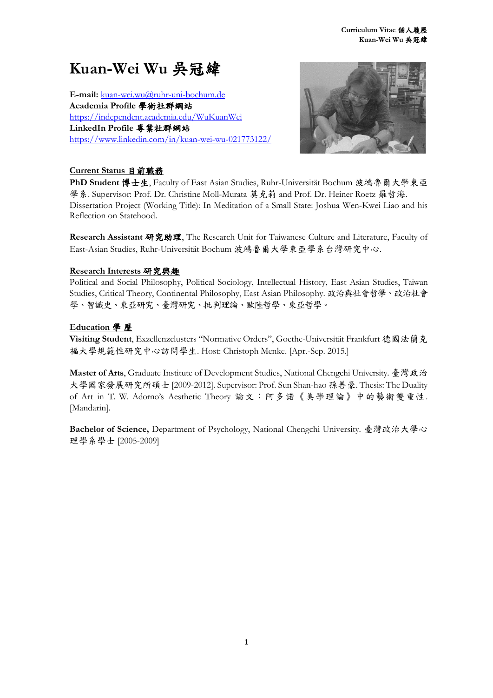# **Kuan-Wei Wu** 吳冠緯

**E-mail:** [kuan-wei.wu@ruhr-uni-bochum.de](mailto:kuan-wei.wu@ruhr-uni-bochum.de) **Academia Profile** 學術社群網站 <https://independent.academia.edu/WuKuanWei> **LinkedIn Profile** 專業社群網站 <https://www.linkedin.com/in/kuan-wei-wu-021773122/>



## **Current Status** 目前職務

**PhD Student** 博士生, Faculty of East Asian Studies, Ruhr-Universität Bochum 波鴻魯爾大學東亞 學系. Supervisor: Prof. Dr. Christine Moll-Murata 莫克莉 and Prof. Dr. Heiner Roetz 羅哲海. Dissertation Project (Working Title): In Meditation of a Small State: Joshua Wen-Kwei Liao and his Reflection on Statehood.

**Research Assistant** 研究助理, The Research Unit for Taiwanese Culture and Literature, Faculty of East-Asian Studies, Ruhr-Universität Bochum 波鴻魯爾大學東亞學系台灣研究中心.

## **Research Interests** 研究興趣

Political and Social Philosophy, Political Sociology, Intellectual History, East Asian Studies, Taiwan Studies, Critical Theory, Continental Philosophy, East Asian Philosophy. 政治與社會哲學、政治社會 學、智識史、東亞研究、臺灣研究、批判理論、歐陸哲學、東亞哲學。

## **Education** 學 歷

**Visiting Student**, Exzellenzclusters "Normative Orders", Goethe-Universität Frankfurt 德國法蘭克 福大學規範性研究中心訪問學生. Host: Christoph Menke. [Apr.-Sep. 2015.]

**Master of Arts**, Graduate Institute of Development Studies, National Chengchi University. 臺灣政治 大學國家發展研究所碩士 [2009-2012]. Supervisor: Prof. Sun Shan-hao 孫善豪. Thesis: The Duality of Art in T. W. Adorno's Aesthetic Theory 論文:阿多諾《美學理論》中的藝術雙重性. [Mandarin].

**Bachelor of Science,** Department of Psychology, National Chengchi University. 臺灣政治大學心 理學系學士 [2005-2009]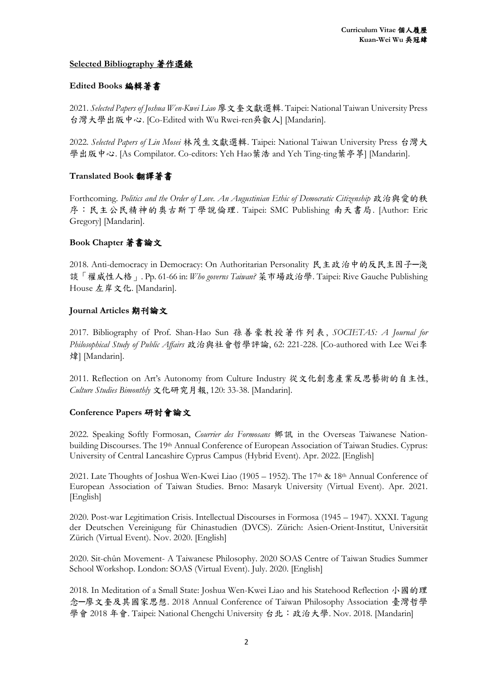#### **Selected Bibliography** 著作選錄

## **Edited Books** 編輯著書

2021. *Selected Papers of Joshua Wen-Kwei Liao* 廖文奎文獻選輯. Taipei: National Taiwan University Press 台灣大學出版中心. [Co-Edited with Wu Rwei-ren吳叡人] [Mandarin].

2022. *Selected Papers of Lin Mosei* 林茂生文獻選輯. Taipei: National Taiwan University Press 台灣大 學出版中心. [As Compilator. Co-editors: Yeh Hao葉浩 and Yeh Ting-ting葉亭葶] [Mandarin].

## **Translated Book** 翻譯著書

Forthcoming. *Politics and the Order of Love. An Augustinian Ethic of Democratic Citizenship* 政治與愛的秩 序:民主公民精神的奧古斯丁學說倫理. Taipei: SMC Publishing 南天書局. [Author: Eric Gregory] [Mandarin].

## **Book Chapter** 著書論文

2018. Anti-democracy in Democracy: On Authoritarian Personality 民主政治中的反民主因子─淺 談「權威性人格」. Pp. 61-66 in: *Who governs Taiwan?* 菜市場政治學. Taipei: Rive Gauche Publishing House 左岸文化. [Mandarin].

#### **Journal Articles** 期刊論文

2017. Bibliography of Prof. Shan-Hao Sun 孫善豪教授著作列表, *SOCIETAS: A Journal for Philosophical Study of Public Affairs* 政治與社會哲學評論, 62: 221-228. [Co-authored with Lee Wei李 煒] [Mandarin].

2011. Reflection on Art's Autonomy from Culture Industry 從文化創意產業反思藝術的自主性, *Culture Studies Bimonthly* 文化研究月報, 120: 33-38. [Mandarin].

#### **Conference Papers** 研討會論文

2022. Speaking Softly Formosan, *Courrier des Formosans* 鄉訊 in the Overseas Taiwanese Nationbuilding Discourses. The 19th Annual Conference of European Association of Taiwan Studies. Cyprus: University of Central Lancashire Cyprus Campus (Hybrid Event). Apr. 2022. [English]

2021. Late Thoughts of Joshua Wen-Kwei Liao (1905 – 1952). The 17th & 18th Annual Conference of European Association of Taiwan Studies. Brno: Masaryk University (Virtual Event). Apr. 2021. [English]

2020. Post-war Legitimation Crisis. Intellectual Discourses in Formosa (1945 – 1947). XXXI. Tagung der Deutschen Vereinigung für Chinastudien (DVCS). Zürich: Asien-Orient-Institut, Universität Zürich (Virtual Event). Nov. 2020. [English]

2020. Sit-chûn Movement- A Taiwanese Philosophy. 2020 SOAS Centre of Taiwan Studies Summer School Workshop. London: SOAS (Virtual Event). July. 2020. [English]

2018. In Meditation of a Small State: Joshua Wen-Kwei Liao and his Statehood Reflection 小國的理 念─廖文奎及其國家思想. 2018 Annual Conference of Taiwan Philosophy Association 臺灣哲學 學會 2018 年會. Taipei: National Chengchi University 台北: 政治大學. Nov. 2018. [Mandarin]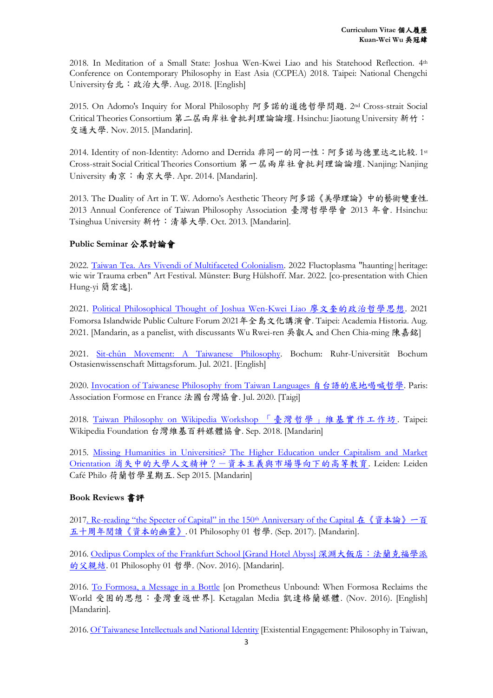2018. In Meditation of a Small State: Joshua Wen-Kwei Liao and his Statehood Reflection. 4th Conference on Contemporary Philosophy in East Asia (CCPEA) 2018. Taipei: National Chengchi University台北:政治大學. Aug. 2018. [English]

2015. On Adorno's Inquiry for Moral Philosophy 阿多諾的道德哲學問題. 2nd Cross-strait Social Critical Theories Consortium 第二屆兩岸社會批判理論論壇. Hsinchu: Jiaotung University 新竹: 交通大學. Nov. 2015. [Mandarin].

2014. Identity of non-Identity: Adorno and Derrida 非同一的同一性:阿多诺与德里达之比较. 1st Cross-strait Social Critical Theories Consortium 第一屆兩岸社會批判理論論壇. Nanjing: Nanjing University 南京:南京大學. Apr. 2014. [Mandarin].

2013. The Duality of Art in T. W. Adorno's Aesthetic Theory 阿多諾《美學理論》中的藝術雙重性. 2013 Annual Conference of Taiwan Philosophy Association 臺灣哲學學會 2013 年會. Hsinchu: Tsinghua University 新竹:清華大學. Oct. 2013. [Mandarin].

## **Public Seminar** 公眾討論會

2022. [Taiwan Tea. Ars Vivendi of Multifaceted Colonialism.](https://www.burg-huelshoff.de/programm/kalender/traumata-erben-1) 2022 Fluctoplasma "haunting|heritage: wie wir Trauma erben" Art Festival. Münster: Burg Hülshoff. Mar. 2022. [co-presentation with Chien Hung-yi 簡宏逸].

2021. [Political Philosophical Thought of Joshua Wen-Kwei Liao](https://www.facebook.com/events/%E5%9C%8B%E5%8F%B2%E9%A4%A8academia-historica/-2021-%E5%B9%B4-%E5%85%A8%E5%B3%B6%E6%96%87%E5%8C%96%E8%AC%9B%E6%BC%94%E6%9C%83%E5%BB%96%E6%96%87%E5%A5%8E%E7%9A%84%E6%94%BF%E6%B2%BB%E5%93%B2%E5%AD%B8%E6%80%9D%E6%83%B3/402718304286221/) 廖文奎的政治哲學思想. 2021 Fomorsa Islandwide Public Culture Forum 2021年全島文化講演會. Taipei: Academia Historia. Aug. 2021. [Mandarin, as a panelist, with discussants Wu Rwei-ren 吳叡人 and Chen Chia-ming 陳嘉銘]

2021. Sit-chûn Movement: [A Taiwanese Philosophy.](https://www.ruhr-uni-bochum.de/oaw/pdf/mf_wise_2020_21.pdf) Bochum: Ruhr-Universität Bochum Ostasienwissenschaft Mittagsforum. Jul. 2021. [English]

2020. [Invocation of Taiwanese Philosophy from Taiwan Languages](https://www.facebook.com/PassportToTaiwan/photos/gm.2590886471123471/2466261097000063/) 自台語的底地喝喊哲學. Paris: Association Formose en France 法國台灣協會. Jul. 2020. [Taigi]

2018. [Taiwan Philosophy on Wikipedia Workshop](https://twphilo.blogspot.com/2018/08/920.html) 「臺灣哲學」維基實作工作坊. Taipei: Wikipedia Foundation 台灣維基百科媒體協會. Sep. 2018. [Mandarin]

2015. [Missing Humanities in Universities? The Higher Education under Capitalism and Market](https://www.facebook.com/cafephilonl/photos/a.141486752860365/141486336193740)  Orientation [消失中的大學人文精神?-資本主義與市場導向下的高等教育](https://www.facebook.com/cafephilonl/photos/a.141486752860365/141486336193740). Leiden: Leiden Café Philo 荷蘭哲學星期五. Sep 2015. [Mandarin]

#### **Book Reviews** 書評

2017. Re-[reading "the Specter](https://www.hk01.com/%E5%93%B2%E5%AD%B8/119995/%E5%9C%A8-%E8%B3%87%E6%9C%AC%E8%AB%96-%E4%B8%80%E7%99%BE%E4%BA%94%E5%8D%81%E5%91%A8%E5%B9%B4%E9%96%B1%E8%AE%80-%E8%B3%87%E6%9C%AC%E7%9A%84%E5%B9%BD%E9%9D%88) of Capital" in the 150th Anniversary of the Capital 在《資本論》一百 [五十周年閱讀《資本的幽靈》](https://www.hk01.com/%E5%93%B2%E5%AD%B8/119995/%E5%9C%A8-%E8%B3%87%E6%9C%AC%E8%AB%96-%E4%B8%80%E7%99%BE%E4%BA%94%E5%8D%81%E5%91%A8%E5%B9%B4%E9%96%B1%E8%AE%80-%E8%B3%87%E6%9C%AC%E7%9A%84%E5%B9%BD%E9%9D%88). 01 Philosophy 01 哲學. (Sep. 2017). [Mandarin].

2016[. Oedipus Complex of the Frankfurt School \[Grand Hotel Abyss\]](https://www.hk01.com/%E5%93%B2%E5%AD%B8/55663/%E6%B7%B1%E6%B7%B5%E5%A4%A7%E9%A3%AF%E5%BA%97-%E6%B3%95%E8%98%AD%E5%85%8B%E7%A6%8F%E5%AD%B8%E6%B4%BE%E7%9A%84%E7%88%B6%E8%A6%AA%E7%B5%90) 深淵大飯店:法蘭克福學派 **[的父親結](https://www.hk01.com/%E5%93%B2%E5%AD%B8/55663/%E6%B7%B1%E6%B7%B5%E5%A4%A7%E9%A3%AF%E5%BA%97-%E6%B3%95%E8%98%AD%E5%85%8B%E7%A6%8F%E5%AD%B8%E6%B4%BE%E7%9A%84%E7%88%B6%E8%A6%AA%E7%B5%90).** 01 Philosophy 01 哲學. (Nov. 2016). [Mandarin].

2016. [To Formosa, a Message in a Bottle](https://ketagalanmedia.com/2016/11/03/book-review-to-formosa-a-message-in-a-bottle/) [on Prometheus Unbound: When Formosa Reclaims the World 受困的思想:臺灣重返世界]. Ketagalan Media 凱達格蘭媒體. (Nov. 2016). [English] [Mandarin].

2016[. Of Taiwanese Intellectuals and National Identity](https://ketagalanmedia.com/2016/07/10/book-review-taiwanese-intellectuals-national-identity/) [Existential Engagement: Philosophy in Taiwan,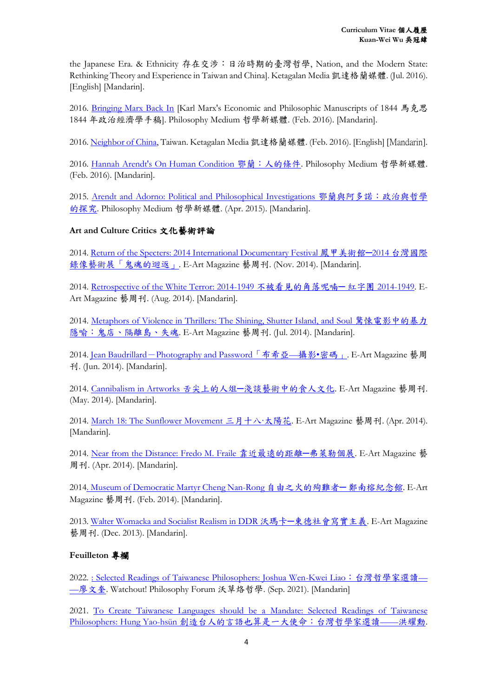the Japanese Era. & Ethnicity 存在交涉:日治時期的臺灣哲學, Nation, and the Modern State: Rethinking Theory and Experience in Taiwan and China]. Ketagalan Media 凱達格蘭媒體. (Jul. 2016). [English] [Mandarin].

2016. [Bringing Marx Back In](https://philomedium.com/blog/79622) [Karl Marx's Economic and Philosophic Manuscripts of 1844 馬克思 1844 年政治經濟學手稿]. Philosophy Medium 哲學新媒體. (Feb. 2016). [Mandarin].

2016[. Neighbor of China,](https://ketagalanmedia.com/2016/02/24/book-review-neighbor-of-china-taiwan/) Taiwan. Ketagalan Media 凱達格蘭媒體. (Feb. 2016). [English] [Mandarin].

2016. [Hannah Arendt's On Human Condition](https://www.philomedium.com/blog/79441?fbclid=IwAR2fyqjPsfagRiShOUTmhpBC31pRnO8JO1phDMLX0eD5Robwl6QB9-GYO78) 鄂蘭:人的條件. Philosophy Medium 哲學新媒體. (Feb. 2016). [Mandarin].

2015. [Arendt and Adorno: Political and Philosophical Investigations](https://philomedium.com/blog/79192) 鄂蘭與阿多諾:政治與哲學 [的探究](https://philomedium.com/blog/79192). Philosophy Medium 哲學新媒體. (Apr. 2015). [Mandarin].

## **Art and Culture Critics** 文化藝術評論

2014[. Return of the Specters: 2014 International Documentary Festival](http://888.org.tw/ArtCritic/article1022.html) 鳳甲美術館─2014 台灣國際 [錄像藝術展「鬼魂的迴返」](http://888.org.tw/ArtCritic/article1022.html). E-Art Magazine 藝周刊. (Nov. 2014). [Mandarin].

2014. [Retrospective of the White Terror: 2014-1949](http://888.org.tw/ArtCritic/article944.html) 不被看見的角落呢喃─ 紅字團 2014-1949. E-Art Magazine 藝周刊. (Aug. 2014). [Mandarin].

2014. Metaphors [of Violence in Thrillers: The Shining, Shutter Island, and](http://888.org.tw/ArtCritic/article930.html) Soul 驚悚電影中的暴力 [隱喻:鬼店、隔離島、失魂](http://888.org.tw/ArtCritic/article930.html). E-Art Magazine 藝周刊. (Jul. 2014). [Mandarin].

2014. Jean Baudrillard-[Photography and Password](http://888.org.tw/ArtCritic/article910.html)「布希亞—攝影•密碼」. E-Art Magazine 藝周 刊. (Jun. 2014). [Mandarin].

2014. [Cannibalism in Artworks](http://888.org.tw/ArtCritic/article892.html) 舌尖上的人俎─淺談藝術中的食人文化. E-Art Magazine 藝周刊. (May. 2014). [Mandarin].

2014. [March 18: The Sunflower Movement](http://888.org.tw/ArtCritic/article872.html) 三月十八·太陽花. E-Art Magazine 藝周刊. (Apr. 2014). [Mandarin].

2014. [Near from the Distance: Fredo M. Fraile](http://888.org.tw/ArtCritic/article874.html) 靠近最遠的距離─弗萊勒個展. E-Art Magazine 藝 周刊. (Apr. 2014). [Mandarin].

2014. Museum of Democratic Martyr Cheng Nan-Rong [自由之火的殉難者](http://888.org.tw/ArtCritic/article844.html)─ 鄭南榕紀念館. E-Art Magazine 藝周刊. (Feb. 2014). [Mandarin].

2013. Walter Womacka and Socialist Realism in DDR 沃瑪卡─[東德社會寫實主義](http://888.org.tw/ArtCritic/article800.html). E-Art Magazine 藝周刊. (Dec. 2013). [Mandarin].

#### **Feuilleton** 專欄

2022. [: Selected Readings of Taiwanese Philosophers: Joshua Wen-Kwei Liao](https://opinion.udn.com/opinion/story/6685/5978304): 台灣哲學家選讀— —[廖文奎](https://opinion.udn.com/opinion/story/6685/5978304). Watchout! Philosophy Forum 沃草烙哲學. (Sep. 2021). [Mandarin]

2021. To Create [Taiwanese Languages should be a Mandate: Selected Readings of Taiwanese](https://opinion.udn.com/opinion/story/6685/5732940?fbclid=IwAR0aSGc0vRouHMeopOE1SBpxip5HmwEnU_yw428G7RemsngLGRi7JXyRrFY)  Philosophers: Hung Yao-hsün [創造台人的言語也算是一大使命:台灣哲學家選讀](https://opinion.udn.com/opinion/story/6685/5732940?fbclid=IwAR0aSGc0vRouHMeopOE1SBpxip5HmwEnU_yw428G7RemsngLGRi7JXyRrFY)——洪耀勳.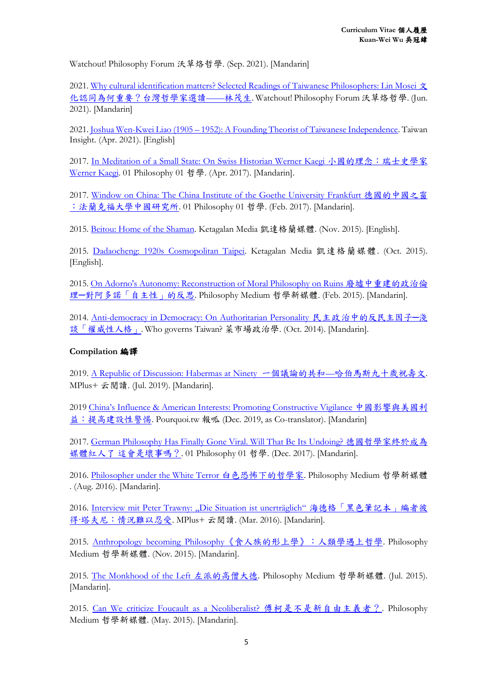Watchout! Philosophy Forum 沃草烙哲學. (Sep. 2021). [Mandarin]

2021[. Why cultural identification matters? Selected Readings of Taiwanese Philosophers: Lin Mosei](https://opinion.udn.com/opinion/story/6685/5505864) 文 [化認同為何重要?台灣哲學家選讀](https://opinion.udn.com/opinion/story/6685/5505864)——林茂生. Watchout! Philosophy Forum 沃草烙哲學. (Jun. 2021). [Mandarin]

2021. Joshua Wen-Kwei Liao (1905 – [1952\): A Founding Theorist of Taiwanese Independence.](https://taiwaninsight.org/2021/04/12/joshua-wen-kwei-liao-1905-1952-a-founding-theorist-of-taiwanese-independence/) Taiwan Insight. (Apr. 2021). [English]

2017. [In Meditation of a Small State: On Swiss Historian Werner Kaegi](https://www.hk01.com/%E5%93%B2%E5%AD%B8/84209/%E5%B0%8F%E5%9C%8B%E7%9A%84%E7%90%86%E5%BF%B5-%E9%87%8D%E6%96%B0%E5%B4%9B%E8%B5%B7%E9%82%84%E6%98%AF%E7%99%BE%E5%BB%A2%E5%BE%85%E8%88%88) 小國的理念:瑞士史學家 [Werner Kaegi.](https://www.hk01.com/%E5%93%B2%E5%AD%B8/84209/%E5%B0%8F%E5%9C%8B%E7%9A%84%E7%90%86%E5%BF%B5-%E9%87%8D%E6%96%B0%E5%B4%9B%E8%B5%B7%E9%82%84%E6%98%AF%E7%99%BE%E5%BB%A2%E5%BE%85%E8%88%88) 01 Philosophy 01 哲學. (Apr. 2017). [Mandarin].

2017. [Window on China: The China Institute of the Goethe University](https://www.hk01.com/%E5%93%B2%E5%AD%B8/69348/%E6%B3%95%E8%98%AD%E5%85%8B%E7%A6%8F%E7%9A%84%E4%B8%AD%E5%9C%8B%E4%B9%8B%E7%AA%97) Frankfurt 德國的中國之窗 [:法蘭克福大學中國研究所](https://www.hk01.com/%E5%93%B2%E5%AD%B8/69348/%E6%B3%95%E8%98%AD%E5%85%8B%E7%A6%8F%E7%9A%84%E4%B8%AD%E5%9C%8B%E4%B9%8B%E7%AA%97). 01 Philosophy 01 哲學. (Feb. 2017). [Mandarin].

2015. [Beitou: Home of the Shaman.](https://ketagalanmedia.com/2015/11/26/beitou-home-of-the-shaman/) Ketagalan Media 凱達格蘭媒體. (Nov. 2015). [English].

2015. [Dadaocheng: 1920s Cosmopolitan Taipei.](https://ketagalanmedia.com/2015/10/30/dadaocheng-1920s-cosmopolitan-taipei/) Ketagalan Media 凱達格蘭媒體. (Oct. 2015). [English].

2015[. On Adorno's Autonomy: Reconstruction of Moral Philosophy on](https://philomedium.com/blog/79146) Ruins 廢墟中重建的政治倫 理─[對阿多諾「自主性」的反思](https://philomedium.com/blog/79146). Philosophy Medium 哲學新媒體. (Feb. 2015). [Mandarin].

2014. [Anti-democracy in Democracy: On Authoritarian Personality](https://whogovernstw.org/2014/10/03/kuanweiwu1/) 民主政治中的反民主因子─淺 [談「權威性人格」](https://whogovernstw.org/2014/10/03/kuanweiwu1/). Who governs Taiwan? 菜市場政治學. (Oct. 2014). [Mandarin].

#### **Compilation** 編譯

2019. [A Republic of Discussion: Habermas at Ninety](https://www.mplus.com.tw/article/2740) 一個議論的共和—哈伯馬斯九十歲祝壽文. MPlus+ 云閱讀. (Jul. 2019). [Mandarin].

2019 C[hina's Influence & American Interests: Promoting Constructive Vigilance](https://www.pourquoi.tw/author/t4tw/) 中國影響與美國利 [益:提高建設性警惕](https://www.pourquoi.tw/author/t4tw/). Pourquoi.tw 報呱 (Dec. 2019, as Co-translator). [Mandarin]

2017. [German Philosophy Has Finally Gone Viral. Will That Be Its Undoing?](https://www.hk01.com/%E5%93%B2%E5%AD%B8/139599/%E5%BE%B7%E5%9C%8B%E5%93%B2%E5%AD%B8%E5%AE%B6%E7%B5%82%E6%96%BC%E6%88%90%E7%82%BA%E5%AA%92%E9%AB%94%E7%B4%85%E4%BA%BA%E4%BA%86-%E9%80%99%E6%9C%83%E6%98%AF%E5%A3%9E%E4%BA%8B%E5%97%8E) 德國哲學家終於成為 媒體紅人了 [這會是壞事嗎?](https://www.hk01.com/%E5%93%B2%E5%AD%B8/139599/%E5%BE%B7%E5%9C%8B%E5%93%B2%E5%AD%B8%E5%AE%B6%E7%B5%82%E6%96%BC%E6%88%90%E7%82%BA%E5%AA%92%E9%AB%94%E7%B4%85%E4%BA%BA%E4%BA%86-%E9%80%99%E6%9C%83%E6%98%AF%E5%A3%9E%E4%BA%8B%E5%97%8E). 01 Philosophy 01 哲學. (Dec. 2017). [Mandarin].

2016. [Philosopher under the White Terror](https://philomedium.com/report/79694) 白色恐怖下的哲學家. Philosophy Medium 哲學新媒體 . (Aug. 2016). [Mandarin].

2016. Interview mit Peter Trawny: "Die Situation ist unerträglich"海德格「黑色筆記本」編者彼 得‧[塔夫尼:情況難以忍受](https://www.mplus.com.tw/article/1073). MPlus+ 云閱讀. (Mar. 2016). [Mandarin].

2015. Anthropology becoming Philosophy[《食人族的形上學》:人類學遇上哲學](https://philomedium.com/report/79385). Philosophy Medium 哲學新媒體. (Nov. 2015). [Mandarin].

2015. [The Monkhood of the Left](https://philomedium.com/report/79247) 左派的高僧大德. Philosophy Medium 哲學新媒體. (Jul. 2015). [Mandarin].

2015. [Can We criticize Foucault as a Neoliberalist?](https://philomedium.com/report/79206) 傅柯是不是新自由主義者?. Philosophy Medium 哲學新媒體. (May. 2015). [Mandarin].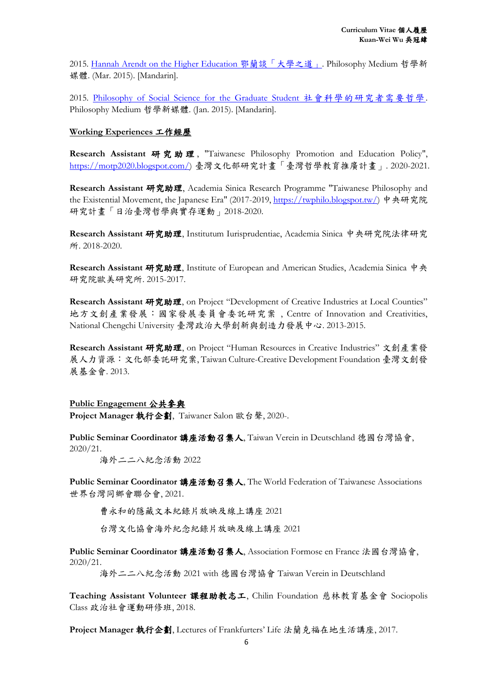2015. [Hannah Arendt on the Higher Education](https://philomedium.com/report/79152) 鄂蘭談「大學之道」. Philosophy Medium 哲學新 媒體. (Mar. 2015). [Mandarin].

2015. [Philosophy of Social Science for the Graduate Student](https://philomedium.com/report/67801) 社會科學的研究者需要哲學. Philosophy Medium 哲學新媒體. (Jan. 2015). [Mandarin].

#### **Working Experiences** 工作經歷

Research Assistant 研究助理, "Taiwanese Philosophy Promotion and Education Policy", [https://motp2020.blogspot.com/\)](https://motp2020.blogspot.com/) 臺灣文化部研究計畫「臺灣哲學教育推廣計畫」. 2020-2021.

**Research Assistant** 研究助理, Academia Sinica Research Programme "Taiwanese Philosophy and the Existential Movement, the Japanese Era" (2017-2019, [https://twphilo.blogspot.tw/\)](https://twphilo.blogspot.tw/) 中央研究院 研究計畫「日治臺灣哲學與實存運動」2018-2020.

**Research Assistant** 研究助理, Institutum Iurisprudentiae, Academia Sinica 中央研究院法律研究 所. 2018-2020.

Research Assistant 研究助理, Institute of European and American Studies, Academia Sinica 中央 研究院歐美研究所. 2015-2017.

Research Assistant 研究助理, on Project "Development of Creative Industries at Local Counties" 地方文創產業發展:國家發展委員會委託研究案 , Centre of Innovation and Creativities, National Chengchi University 臺灣政治大學創新與創造力發展中心. 2013-2015.

**Research Assistant** 研究助理, on Project "Human Resources in Creative Industries" 文創產業發 展人力資源:文化部委託研究案, Taiwan Culture-Creative Development Foundation 臺灣文創發 展基金會. 2013.

#### **Public Engagement** 公共參與

**Project Manager** 執行企劃, Taiwaner Salon 歐台聲, 2020-.

**Public Seminar Coordinator** 講座活動召集人, Taiwan Verein in Deutschland 德國台灣協會, 2020/21.

海外二二八紀念活動 2022

Public Seminar Coordinator 講座活動召集人, The World Federation of Taiwanese Associations 世界台灣同鄉會聯合會, 2021.

曹永和的隱藏文本紀錄片放映及線上講座 2021

台灣文化協會海外紀念紀錄片放映及線上講座 2021

**Public Seminar Coordinator** 講座活動召集人, Association Formose en France 法國台灣協會, 2020/21.

海外二二八紀念活動 2021 with 德國台灣協會 Taiwan Verein in Deutschland

**Teaching Assistant Volunteer** 課程助教志工, Chilin Foundation 慈林教育基金會 Sociopolis Class 政治社會運動研修班, 2018.

**Project Manager** 執行企劃, Lectures of Frankfurters' Life 法蘭克福在地生活講座, 2017.